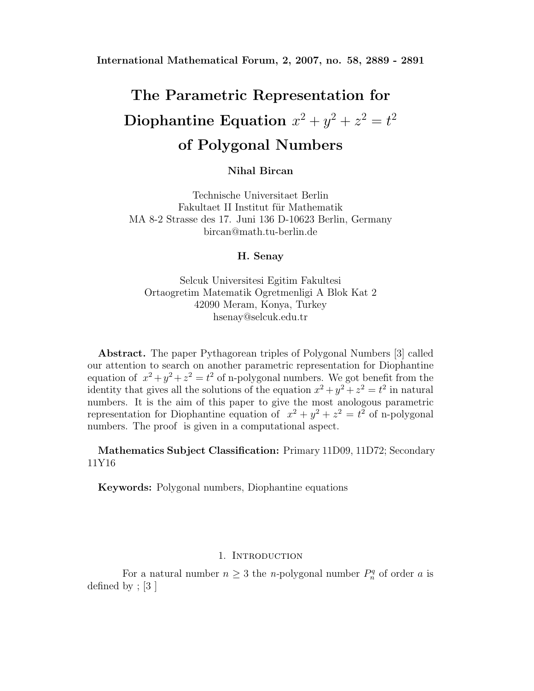## **The Parametric Representation for**  $\textbf{Diophantine Equation} \ \ x^2 + y^2 + z^2 = t^2$ **of Polygonal Numbers**

**Nihal Bircan**

Technische Universitaet Berlin Fakultaet II Institut für Mathematik MA 8-2 Strasse des 17. Juni 136 D-10623 Berlin, Germany bircan@math.tu-berlin.de

**H. Senay**

Selcuk Universitesi Egitim Fakultesi Ortaogretim Matematik Ogretmenligi A Blok Kat 2 42090 Meram, Konya, Turkey hsenay@selcuk.edu.tr

**Abstract.** The paper Pythagorean triples of Polygonal Numbers [3] called our attention to search on another parametric representation for Diophantine equation of  $x^2 + y^2 + z^2 = t^2$  of n-polygonal numbers. We got benefit from the identity that gives all the solutions of the equation  $x^2 + y^2 + z^2 = t^2$  in natural numbers. It is the aim of this paper to give the most anologous parametric representation for Diophantine equation of  $x^2 + y^2 + z^2 = t^2$  of n-polygonal numbers. The proof is given in a computational aspect.

**Mathematics Subject Classification:** Primary 11D09, 11D72; Secondary 11Y16

**Keywords:** Polygonal numbers, Diophantine equations

## 1. INTRODUCTION

For a natural number  $n \geq 3$  the *n*-polygonal number  $P_n^q$  of order *a* is defined by ; [3 ]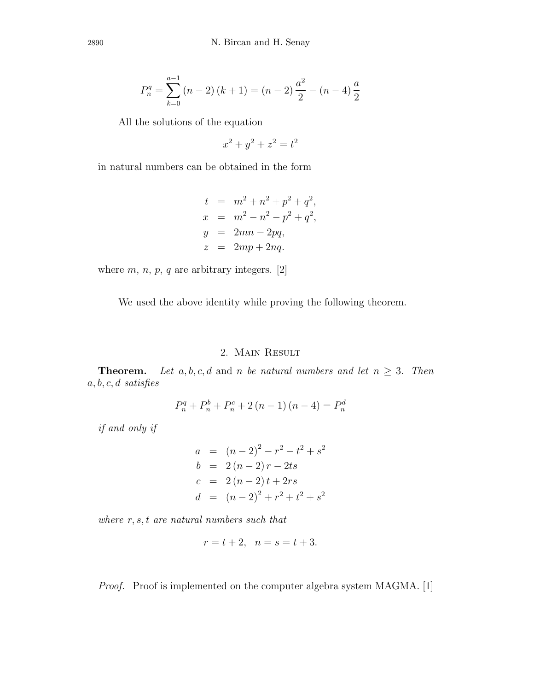$$
P_n^q = \sum_{k=0}^{a-1} (n-2)(k+1) = (n-2)\frac{a^2}{2} - (n-4)\frac{a}{2}
$$

All the solutions of the equation

 $x^2 + y^2 + z^2 = t^2$ 

in natural numbers can be obtained in the form

$$
t = m2 + n2 + p2 + q2,\nx = m2 - n2 - p2 + q2,\ny = 2mn - 2pq,\nz = 2mp + 2nq.
$$

where  $m, n, p, q$  are arbitrary integers. [2]

We used the above identity while proving the following theorem.

## 2. Main Result

**Theorem.** Let  $a, b, c, d$  and  $n$  be natural numbers and let  $n \geq 3$ . Then *a, b, c, d satisfies*

$$
P_n^q + P_n^b + P_n^c + 2(n - 1)(n - 4) = P_n^d
$$

*if and only if*

$$
a = (n-2)^2 - r^2 - t^2 + s^2
$$
  
\n
$$
b = 2(n-2)r - 2ts
$$
  
\n
$$
c = 2(n-2)t + 2rs
$$
  
\n
$$
d = (n-2)^2 + r^2 + t^2 + s^2
$$

*where r, s, t are natural numbers such that*

$$
r = t + 2, \ \ n = s = t + 3.
$$

*Proof.* Proof is implemented on the computer algebra system MAGMA. [1]